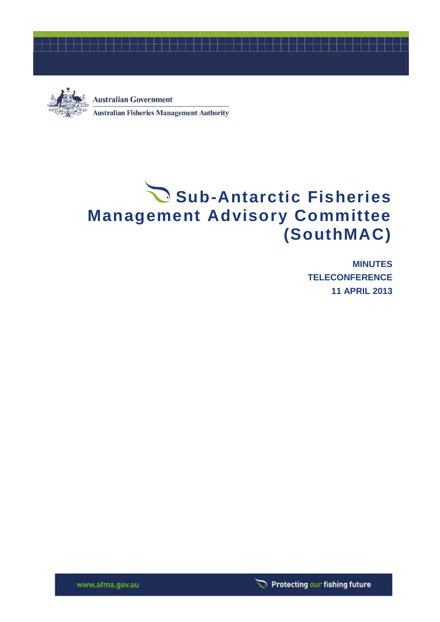



**Australian Government Australian Fisheries Management Authority** 

# Sub-Antarctic Fisheries **Management Advisory Committee (SouthMAC)**

**MINUTES TELECONFERENCE 11 APRIL 2013**



www.afma.gov.au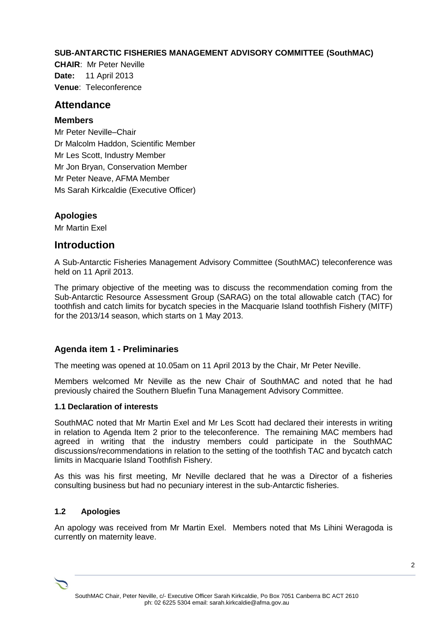### **SUB-ANTARCTIC FISHERIES MANAGEMENT ADVISORY COMMITTEE (SouthMAC)**

**CHAIR**: Mr Peter Neville **Date:** 11 April 2013 **Venue**: Teleconference

## **Attendance**

#### **Members**

Mr Peter Neville–Chair Dr Malcolm Haddon, Scientific Member Mr Les Scott, Industry Member Mr Jon Bryan, Conservation Member Mr Peter Neave, AFMA Member Ms Sarah Kirkcaldie (Executive Officer)

# **Apologies**

Mr Martin Exel

# **Introduction**

A Sub-Antarctic Fisheries Management Advisory Committee (SouthMAC) teleconference was held on 11 April 2013.

The primary objective of the meeting was to discuss the recommendation coming from the Sub-Antarctic Resource Assessment Group (SARAG) on the total allowable catch (TAC) for toothfish and catch limits for bycatch species in the Macquarie Island toothfish Fishery (MITF) for the 2013/14 season, which starts on 1 May 2013.

### **Agenda item 1 - Preliminaries**

The meeting was opened at 10.05am on 11 April 2013 by the Chair, Mr Peter Neville.

Members welcomed Mr Neville as the new Chair of SouthMAC and noted that he had previously chaired the Southern Bluefin Tuna Management Advisory Committee.

#### **1.1 Declaration of interests**

SouthMAC noted that Mr Martin Exel and Mr Les Scott had declared their interests in writing in relation to Agenda Item 2 prior to the teleconference. The remaining MAC members had agreed in writing that the industry members could participate in the SouthMAC discussions/recommendations in relation to the setting of the toothfish TAC and bycatch catch limits in Macquarie Island Toothfish Fishery.

As this was his first meeting, Mr Neville declared that he was a Director of a fisheries consulting business but had no pecuniary interest in the sub-Antarctic fisheries.

### **1.2 Apologies**

An apology was received from Mr Martin Exel. Members noted that Ms Lihini Weragoda is currently on maternity leave.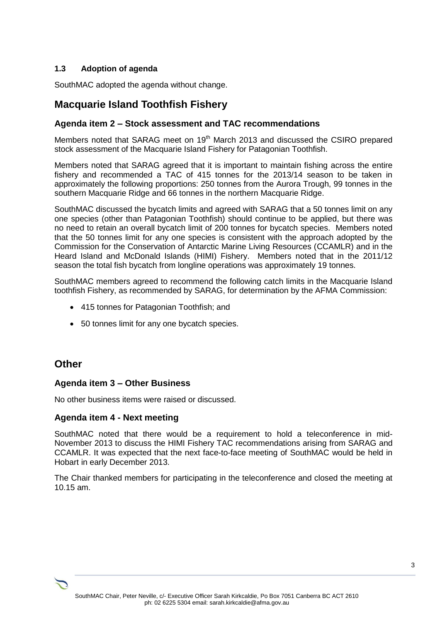### **1.3 Adoption of agenda**

SouthMAC adopted the agenda without change.

# **Macquarie Island Toothfish Fishery**

#### **Agenda item 2 – Stock assessment and TAC recommendations**

Members noted that SARAG meet on 19<sup>th</sup> March 2013 and discussed the CSIRO prepared stock assessment of the Macquarie Island Fishery for Patagonian Toothfish.

Members noted that SARAG agreed that it is important to maintain fishing across the entire fishery and recommended a TAC of 415 tonnes for the 2013/14 season to be taken in approximately the following proportions: 250 tonnes from the Aurora Trough, 99 tonnes in the southern Macquarie Ridge and 66 tonnes in the northern Macquarie Ridge.

SouthMAC discussed the bycatch limits and agreed with SARAG that a 50 tonnes limit on any one species (other than Patagonian Toothfish) should continue to be applied, but there was no need to retain an overall bycatch limit of 200 tonnes for bycatch species. Members noted that the 50 tonnes limit for any one species is consistent with the approach adopted by the Commission for the Conservation of Antarctic Marine Living Resources (CCAMLR) and in the Heard Island and McDonald Islands (HIMI) Fishery. Members noted that in the 2011/12 season the total fish bycatch from longline operations was approximately 19 tonnes.

SouthMAC members agreed to recommend the following catch limits in the Macquarie Island toothfish Fishery, as recommended by SARAG, for determination by the AFMA Commission:

- 415 tonnes for Patagonian Toothfish; and
- 50 tonnes limit for any one bycatch species.

# **Other**

#### **Agenda item 3 – Other Business**

No other business items were raised or discussed.

#### **Agenda item 4 - Next meeting**

SouthMAC noted that there would be a requirement to hold a teleconference in mid-November 2013 to discuss the HIMI Fishery TAC recommendations arising from SARAG and CCAMLR. It was expected that the next face-to-face meeting of SouthMAC would be held in Hobart in early December 2013.

The Chair thanked members for participating in the teleconference and closed the meeting at 10.15 am.